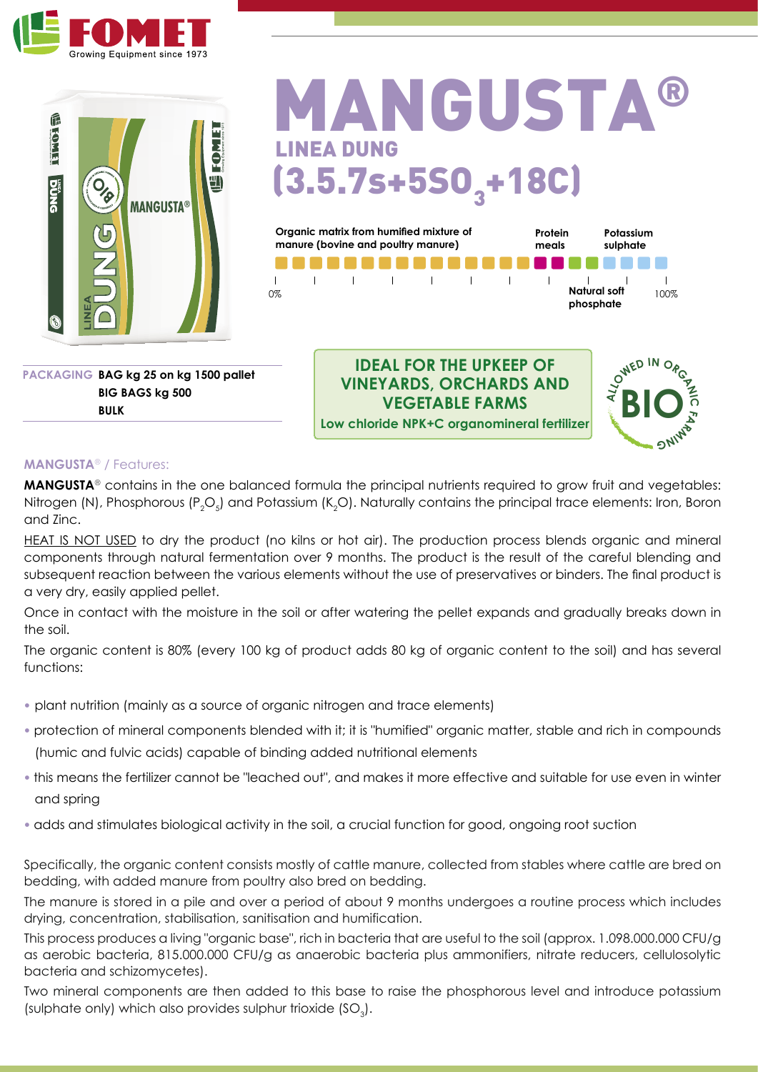



#### **ANGUSTA® INEA DUNG**  $(3.5.7s+5S0<sub>3</sub>+18C)$ **Organic matrix from humified mixture of Protein Potassium manure (bovine and poultry manure) sulphate meals** n n n  $\overline{\phantom{a}}$  $\overline{1}$  $\overline{1}$  $\overline{1}$  $\mathbf{I}$  $\mathbf{I}$ l. J.  $\blacksquare$ **Natural soft**  0% 100%

**PACKAGING BAG kg 25 on kg 1500 pallet BIG BAGS kg 500 BULK**

**IDEAL FOR THE UPKEEP OF VINEYARDS, ORCHARDS AND VEGETABLE FARMS Low chloride NPK+C organomineral fertilizer**



**phosphate**

#### **MANGUSTA**® / Features:

**MANGUSTA**® contains in the one balanced formula the principal nutrients required to grow fruit and vegetables: Nitrogen (N), Phosphorous (P $_{2}$ O $_{5}$ ) and Potassium (K $_{2}$ O). Naturally contains the principal trace elements: Iron, Boron and Zinc.

HEAT IS NOT USED to dry the product (no kilns or hot air). The production process blends organic and mineral components through natural fermentation over 9 months. The product is the result of the careful blending and subsequent reaction between the various elements without the use of preservatives or binders. The final product is a very dry, easily applied pellet.

Once in contact with the moisture in the soil or after watering the pellet expands and gradually breaks down in the soil.

The organic content is 80% (every 100 kg of product adds 80 kg of organic content to the soil) and has several functions:

- **•** plant nutrition (mainly as a source of organic nitrogen and trace elements)
- **•** protection of mineral components blended with it; it is "humified" organic matter, stable and rich in compounds (humic and fulvic acids) capable of binding added nutritional elements
- **•** this means the fertilizer cannot be "leached out", and makes it more effective and suitable for use even in winter and spring
- **•** adds and stimulates biological activity in the soil, a crucial function for good, ongoing root suction

Specifically, the organic content consists mostly of cattle manure, collected from stables where cattle are bred on bedding, with added manure from poultry also bred on bedding.

The manure is stored in a pile and over a period of about 9 months undergoes a routine process which includes drying, concentration, stabilisation, sanitisation and humification.

This process produces a living "organic base", rich in bacteria that are useful to the soil (approx. 1.098.000.000 CFU/g as aerobic bacteria, 815.000.000 CFU/g as anaerobic bacteria plus ammonifiers, nitrate reducers, cellulosolytic bacteria and schizomycetes).

Two mineral components are then added to this base to raise the phosphorous level and introduce potassium (sulphate only) which also provides sulphur trioxide  $(SO_3)$ .